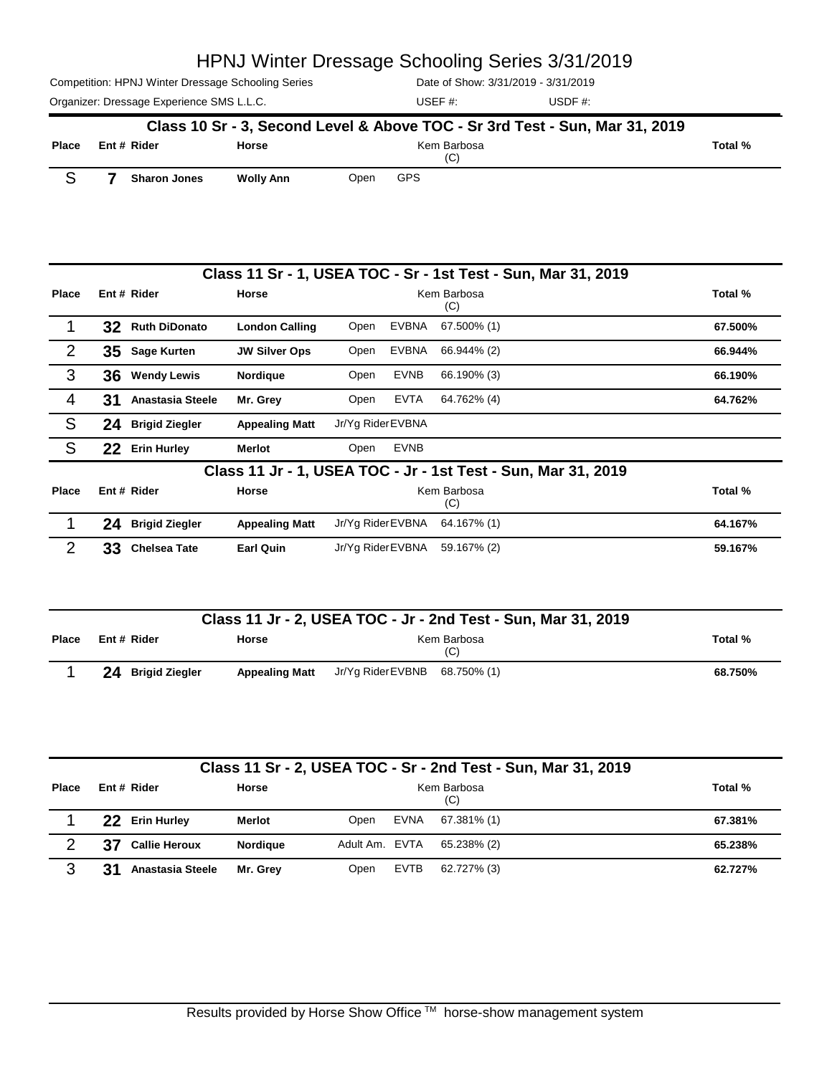Competition: HPNJ Winter Dressage Schooling Series

Date of Show: 3/31/2019 - 3/31/2019

Organizer: Dressage Experience SMS L.L.C. USD USDF #: USDF #:

|            | <u> Pale UI UINIUW. UZUTU - JULIZUTU</u> |
|------------|------------------------------------------|
| USEF $#$ : | USDF $#$ :                               |

|              |                     |                  |      | Class 10 Sr - 3, Second Level & Above TOC - Sr 3rd Test - Sun, Mar 31, 2019 |         |
|--------------|---------------------|------------------|------|-----------------------------------------------------------------------------|---------|
| <b>Place</b> | Ent # Rider         | <b>Horse</b>     |      | Kem Barbosa<br>(C)                                                          | Total % |
|              | <b>Sharon Jones</b> | <b>Wolly Ann</b> | Open | GPS                                                                         |         |

|              |    |                         |                       |                   |             | Class 11 Sr - 1, USEA TOC - Sr - 1st Test - Sun, Mar 31, 2019 |         |
|--------------|----|-------------------------|-----------------------|-------------------|-------------|---------------------------------------------------------------|---------|
| Place        |    | Ent # Rider             | Horse                 |                   |             | Kem Barbosa<br>(C)                                            | Total % |
|              | 32 | <b>Ruth DiDonato</b>    | <b>London Calling</b> | Open              | EVBNA       | 67.500% (1)                                                   | 67.500% |
| 2            | 35 | <b>Sage Kurten</b>      | <b>JW Silver Ops</b>  | Open              | EVBNA       | 66.944% (2)                                                   | 66.944% |
| 3            | 36 | <b>Wendy Lewis</b>      | Nordique              | Open              | <b>EVNB</b> | 66.190% (3)                                                   | 66.190% |
| 4            | 31 | <b>Anastasia Steele</b> | Mr. Grev              | Open              | EVTA        | 64.762% (4)                                                   | 64.762% |
| S            | 24 | <b>Brigid Ziegler</b>   | <b>Appealing Matt</b> | Jr/Yg Rider EVBNA |             |                                                               |         |
| <sub>S</sub> | 22 | <b>Erin Hurley</b>      | <b>Merlot</b>         | Open              | <b>EVNB</b> |                                                               |         |
|              |    |                         |                       |                   |             | Class 11 Jr - 1, USEA TOC - Jr - 1st Test - Sun, Mar 31, 2019 |         |
| Place        |    | Ent # Rider             | Horse                 |                   |             | Kem Barbosa<br>(C)                                            | Total % |
|              | 24 | <b>Brigid Ziegler</b>   | <b>Appealing Matt</b> | Jr/Yg Rider EVBNA |             | 64.167% (1)                                                   | 64.167% |
| 2            | 33 | <b>Chelsea Tate</b>     | <b>Earl Quin</b>      | Jr/Yg Rider EVBNA |             | 59.167% (2)                                                   | 59.167% |

|              | Class 11 Jr - 2, USEA TOC - Jr - 2nd Test - Sun, Mar 31, 2019 |                       |                               |                    |         |  |  |
|--------------|---------------------------------------------------------------|-----------------------|-------------------------------|--------------------|---------|--|--|
| <b>Place</b> | Ent # Rider                                                   | Horse                 |                               | Kem Barbosa<br>(C) | Total % |  |  |
|              | 24<br><b>Brigid Ziegler</b>                                   | <b>Appealing Matt</b> | Jr/Yg Rider EVBNB 68.750% (1) |                    | 68.750% |  |  |

| Class 11 Sr - 2, USEA TOC - Sr - 2nd Test - Sun, Mar 31, 2019 |     |                         |                 |                |      |                    |  |         |
|---------------------------------------------------------------|-----|-------------------------|-----------------|----------------|------|--------------------|--|---------|
| Place                                                         |     | Ent # Rider             | Horse           |                |      | Kem Barbosa<br>(C) |  | Total % |
|                                                               | 22. | <b>Erin Hurley</b>      | Merlot          | Open           | EVNA | 67.381% (1)        |  | 67.381% |
| ◠                                                             | 37  | <b>Callie Heroux</b>    | <b>Nordiaue</b> | Adult Am. EVTA |      | 65.238% (2)        |  | 65.238% |
| 3                                                             | 31  | <b>Anastasia Steele</b> | Mr. Grev        | Open           | EVTB | 62.727% (3)        |  | 62.727% |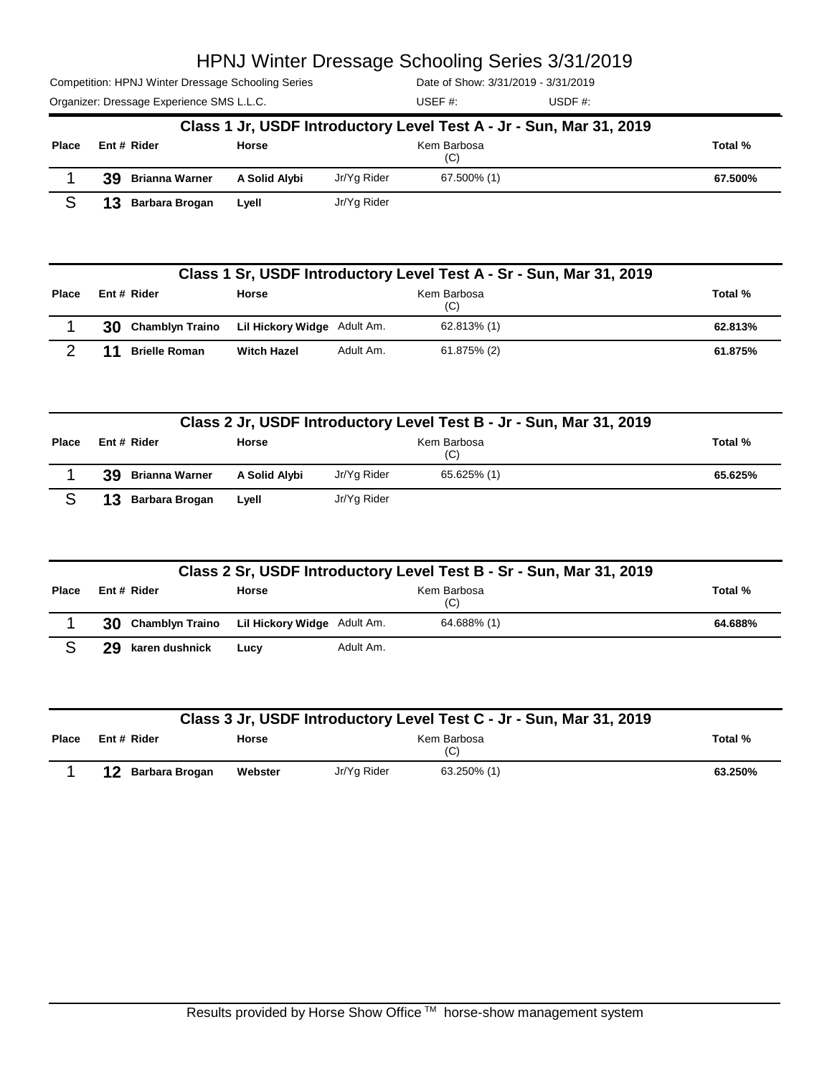Competition: HPNJ Winter Dressage Schooling Series

Date of Show: 3/31/2019 - 3/31/2019

|              |                   |               |             | Class 1 Jr, USDF Introductory Level Test A - Jr - Sun, Mar 31, 2019 |         |
|--------------|-------------------|---------------|-------------|---------------------------------------------------------------------|---------|
| <b>Place</b> | Ent # Rider       | Horse         |             | Kem Barbosa<br>(C)                                                  | Total % |
|              | 39 Brianna Warner | A Solid Alybi | Jr/Yg Rider | 67.500% (1)                                                         | 67.500% |
|              | 13 Barbara Brogan | Lyell         | Jr/Yg Rider |                                                                     |         |

|              | Class 1 Sr, USDF Introductory Level Test A - Sr - Sun, Mar 31, 2019 |                             |           |             |         |  |  |
|--------------|---------------------------------------------------------------------|-----------------------------|-----------|-------------|---------|--|--|
| <b>Place</b> | Kem Barbosa<br>Ent # Rider<br><b>Horse</b><br>(C)                   |                             |           |             |         |  |  |
|              | 30 Chamblyn Traino                                                  | Lil Hickory Widge Adult Am. |           | 62.813% (1) | 62.813% |  |  |
|              | <b>Brielle Roman</b>                                                | <b>Witch Hazel</b>          | Adult Am. | 61.875% (2) | 61.875% |  |  |

| Class 2 Jr, USDF Introductory Level Test B - Jr - Sun, Mar 31, 2019 |                       |               |             |                    |         |  |
|---------------------------------------------------------------------|-----------------------|---------------|-------------|--------------------|---------|--|
| <b>Place</b>                                                        | Ent # Rider           | <b>Horse</b>  |             | Kem Barbosa<br>(C) | Total % |  |
|                                                                     | 39.<br>Brianna Warner | A Solid Alybi | Jr/Yg Rider | 65.625% (1)        | 65.625% |  |
|                                                                     | Barbara Brogan        | Lyell         | Jr/Yg Rider |                    |         |  |

|              |                                                |              |           |                    | Class 2 Sr, USDF Introductory Level Test B - Sr - Sun, Mar 31, 2019 |         |
|--------------|------------------------------------------------|--------------|-----------|--------------------|---------------------------------------------------------------------|---------|
| <b>Place</b> | Ent # Rider                                    | <b>Horse</b> |           | Kem Barbosa<br>(C) |                                                                     | Total % |
|              | 30 Chamblyn Traino Lil Hickory Widge Adult Am. |              |           | 64.688% (1)        |                                                                     | 64.688% |
|              | 29<br>karen dushnick                           | Lucy         | Adult Am. |                    |                                                                     |         |

|       | Class 3 Jr, USDF Introductory Level Test C - Jr - Sun, Mar 31, 2019 |         |             |             |         |  |  |
|-------|---------------------------------------------------------------------|---------|-------------|-------------|---------|--|--|
| Place | Ent # Rider<br>Kem Barbosa<br><b>Horse</b><br>(C)                   |         |             |             |         |  |  |
|       | 12<br>Barbara Brogan                                                | Webster | Jr/Yg Rider | 63.250% (1) | 63.250% |  |  |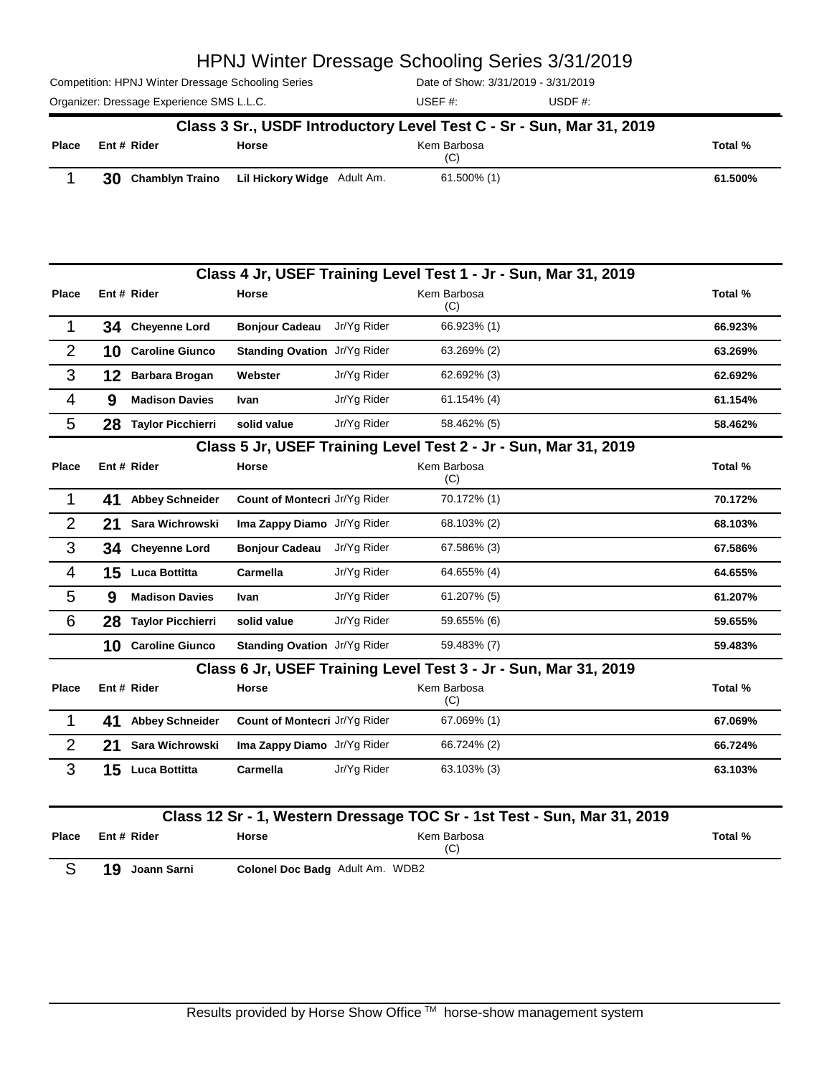Competition: HPNJ Winter Dressage Schooling Series

Date of Show: 3/31/2019 - 3/31/2019

|       | Class 3 Sr., USDF Introductory Level Test C - Sr - Sun, Mar 31, 2019 |                             |                    |         |  |  |
|-------|----------------------------------------------------------------------|-----------------------------|--------------------|---------|--|--|
| Place | Ent # Rider                                                          | <b>Horse</b>                | Kem Barbosa<br>(C) | Total % |  |  |
|       | 30<br><b>Chamblyn Traino</b>                                         | Lil Hickory Widge Adult Am. | 61.500% (1)        | 61.500% |  |  |

|                |    |                          |                                 |             | Class 4 Jr, USEF Training Level Test 1 - Jr - Sun, Mar 31, 2019         |         |
|----------------|----|--------------------------|---------------------------------|-------------|-------------------------------------------------------------------------|---------|
| Place          |    | Ent # Rider              | Horse                           |             | Kem Barbosa<br>(C)                                                      | Total % |
| 1              | 34 | <b>Cheyenne Lord</b>     | <b>Bonjour Cadeau</b>           | Jr/Yg Rider | 66.923% (1)                                                             | 66.923% |
| $\overline{2}$ | 10 | <b>Caroline Giunco</b>   | Standing Ovation Jr/Yg Rider    |             | 63.269% (2)                                                             | 63.269% |
| 3              | 12 | <b>Barbara Brogan</b>    | Webster                         | Jr/Yg Rider | 62.692% (3)                                                             | 62.692% |
| 4              | 9  | <b>Madison Davies</b>    | Ivan                            | Jr/Yg Rider | 61.154% (4)                                                             | 61.154% |
| 5              | 28 | <b>Taylor Picchierri</b> | solid value                     | Jr/Yg Rider | 58.462% (5)                                                             | 58.462% |
|                |    |                          |                                 |             | Class 5 Jr, USEF Training Level Test 2 - Jr - Sun, Mar 31, 2019         |         |
| <b>Place</b>   |    | Ent # Rider              | <b>Horse</b>                    |             | Kem Barbosa<br>(C)                                                      | Total % |
| 1              | 41 | <b>Abbey Schneider</b>   | Count of Montecri Jr/Yg Rider   |             | 70.172% (1)                                                             | 70.172% |
| $\overline{2}$ | 21 | Sara Wichrowski          | Ima Zappy Diamo Jr/Yg Rider     |             | 68.103% (2)                                                             | 68.103% |
| 3              | 34 | <b>Cheyenne Lord</b>     | <b>Bonjour Cadeau</b>           | Jr/Yg Rider | 67.586% (3)                                                             | 67.586% |
| $\overline{4}$ | 15 | Luca Bottitta            | Carmella                        | Jr/Yg Rider | 64.655% (4)                                                             | 64.655% |
| 5              | 9  | <b>Madison Davies</b>    | Ivan                            | Jr/Yg Rider | 61.207% (5)                                                             | 61.207% |
| 6              | 28 | <b>Taylor Picchierri</b> | solid value                     | Jr/Yg Rider | 59.655% (6)                                                             | 59.655% |
|                | 10 | <b>Caroline Giunco</b>   | Standing Ovation Jr/Yg Rider    |             | 59.483% (7)                                                             | 59.483% |
|                |    |                          |                                 |             | Class 6 Jr, USEF Training Level Test 3 - Jr - Sun, Mar 31, 2019         |         |
| Place          |    | Ent # Rider              | Horse                           |             | Kem Barbosa<br>(C)                                                      | Total % |
| 1              | 41 | <b>Abbey Schneider</b>   | Count of Montecri Jr/Yg Rider   |             | 67.069% (1)                                                             | 67.069% |
| $\overline{2}$ | 21 | Sara Wichrowski          | Ima Zappy Diamo Jr/Yg Rider     |             | 66.724% (2)                                                             | 66.724% |
| 3              |    | 15 Luca Bottitta         | Carmella                        | Jr/Yg Rider | 63.103% (3)                                                             | 63.103% |
|                |    |                          |                                 |             | Class 12 Sr - 1, Western Dressage TOC Sr - 1st Test - Sun, Mar 31, 2019 |         |
| Place          |    | Ent # Rider              | Horse                           |             | Kem Barbosa<br>(C)                                                      | Total % |
| S              | 19 | Joann Sarni              | Colonel Doc Badg Adult Am. WDB2 |             |                                                                         |         |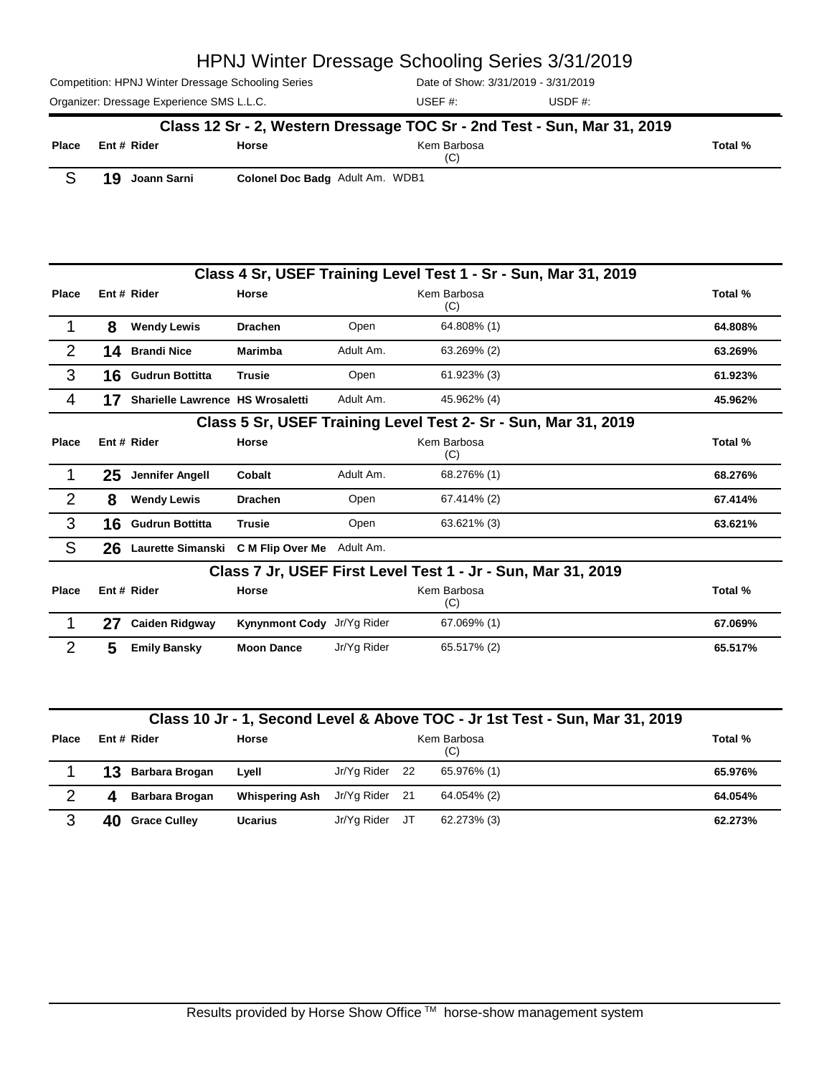Competition: HPNJ Winter Dressage Schooling Series

Date of Show: 3/31/2019 - 3/31/2019

Organizer: Dressage Experience SMS L.L.C. USER #: USDF #: USDF #: USEF #: **Class 12 Sr - 2, Western Dressage TOC Sr - 2nd Test - Sun, Mar 31, 2019**

| <b>Place</b>   |    | Ent#Rider                                       | <b>Horse</b>                    |           | Kem Barbosa<br>(C)                                              | Total % |
|----------------|----|-------------------------------------------------|---------------------------------|-----------|-----------------------------------------------------------------|---------|
| S              | 19 | Joann Sarni                                     | Colonel Doc Badg Adult Am. WDB1 |           |                                                                 |         |
|                |    |                                                 |                                 |           |                                                                 |         |
|                |    |                                                 |                                 |           | Class 4 Sr, USEF Training Level Test 1 - Sr - Sun, Mar 31, 2019 |         |
| Place          |    | Ent# Rider                                      | Horse                           |           | Kem Barbosa<br>(C)                                              | Total % |
|                | 8  | <b>Wendy Lewis</b>                              | <b>Drachen</b>                  | Open      | 64.808% (1)                                                     | 64.808% |
| $\overline{2}$ | 14 | <b>Brandi Nice</b>                              | <b>Marimba</b>                  | Adult Am. | 63.269% (2)                                                     | 63.269% |
| 3              | 16 | <b>Gudrun Bottitta</b>                          | <b>Trusie</b>                   | Open      | 61.923% (3)                                                     | 61.923% |
| 4              | 17 | Sharielle Lawrence HS Wrosaletti                |                                 | Adult Am. | 45.962% (4)                                                     | 45.962% |
|                |    |                                                 |                                 |           | Class 5 Sr, USEF Training Level Test 2- Sr - Sun, Mar 31, 2019  |         |
| Place          |    | Ent # Rider                                     | <b>Horse</b>                    |           | Kem Barbosa<br>(C)                                              | Total % |
|                | 25 | <b>Jennifer Angell</b>                          | Cobalt                          | Adult Am. | 68.276% (1)                                                     | 68.276% |
| $\overline{2}$ | 8  | <b>Wendy Lewis</b>                              | <b>Drachen</b>                  | Open      | 67.414% (2)                                                     | 67.414% |
| 3              | 16 | <b>Gudrun Bottitta</b>                          | <b>Trusie</b>                   | Open      | 63.621% (3)                                                     | 63.621% |
| S              |    | 26 Laurette Simanski C M Flip Over Me Adult Am. |                                 |           |                                                                 |         |
|                |    |                                                 |                                 |           | Class 7 Jr, USEF First Level Test 1 - Jr - Sun, Mar 31, 2019    |         |
| <b>Place</b>   |    | Ent # Rider                                     | Horse                           |           | Kem Barbosa<br>(C)                                              | Total % |

|     |                     |                            |             | (C)         |         |
|-----|---------------------|----------------------------|-------------|-------------|---------|
| -27 | Caiden Ridgway      | Kynynmont Cody Jr/Yg Rider |             | 67.069% (1) | 67.069% |
|     | <b>Emily Bansky</b> | <b>Moon Dance</b>          | Jr/Yg Rider | 65.517% (2) | 65.517% |

#### **Class 10 Jr - 1, Second Level & Above TOC - Jr 1st Test - Sun, Mar 31, 2019**

| <b>Place</b> |    | Ent # Rider         | <b>Horse</b>          |             |     | Kem Barbosa<br>(C) | Total % |
|--------------|----|---------------------|-----------------------|-------------|-----|--------------------|---------|
|              | 13 | Barbara Brogan      | Lyell                 | Jr/Yg Rider | -22 | 65.976% (1)        | 65.976% |
| ◠            |    | Barbara Brogan      | <b>Whispering Ash</b> | Jr/Yg Rider | -21 | 64.054% (2)        | 64.054% |
| າ            | 40 | <b>Grace Culley</b> | <b>Ucarius</b>        | Jr/Yg Rider | JT  | 62.273% (3)        | 62.273% |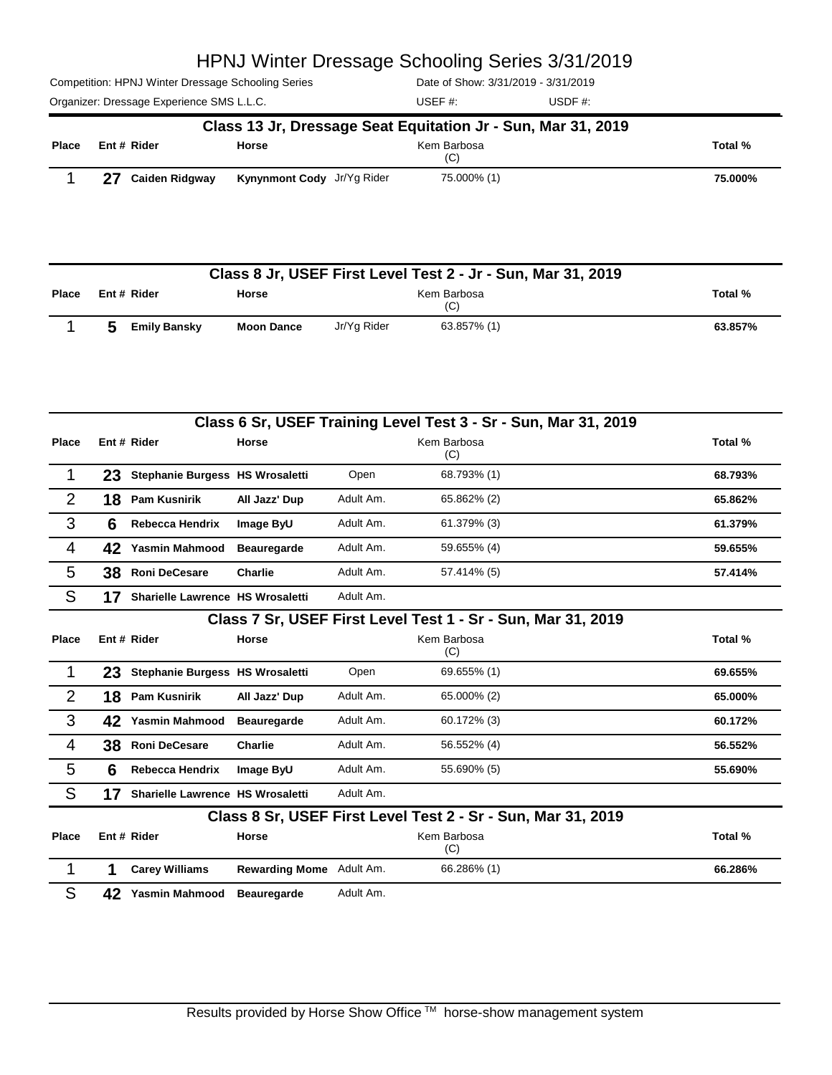Competition: HPNJ Winter Dressage Schooling Series

Date of Show: 3/31/2019 - 3/31/2019

|       | Class 13 Jr, Dressage Seat Equitation Jr - Sun, Mar 31, 2019 |                            |                    |         |  |  |  |  |  |
|-------|--------------------------------------------------------------|----------------------------|--------------------|---------|--|--|--|--|--|
| Place | Ent # Rider                                                  | <b>Horse</b>               | Kem Barbosa<br>(C) | Total % |  |  |  |  |  |
|       | 27<br><b>Caiden Ridgway</b>                                  | Kynynmont Cody Jr/Yg Rider | 75.000% (1)        | 75.000% |  |  |  |  |  |

|       | Class 8 Jr, USEF First Level Test 2 - Jr - Sun, Mar 31, 2019 |                   |                    |             |         |  |  |  |  |
|-------|--------------------------------------------------------------|-------------------|--------------------|-------------|---------|--|--|--|--|
| Place | Ent # Rider                                                  | <b>Horse</b>      | Kem Barbosa<br>(C) |             |         |  |  |  |  |
|       | <b>Emily Bansky</b>                                          | <b>Moon Dance</b> | Jr/Ya Rider        | 63.857% (1) | 63.857% |  |  |  |  |

|                |                                                              |                                  |                          |           | Class 6 Sr, USEF Training Level Test 3 - Sr - Sun, Mar 31, 2019 |         |  |  |  |
|----------------|--------------------------------------------------------------|----------------------------------|--------------------------|-----------|-----------------------------------------------------------------|---------|--|--|--|
| <b>Place</b>   |                                                              | Ent # Rider                      | <b>Horse</b>             |           | Kem Barbosa<br>(C)                                              | Total % |  |  |  |
|                | 23                                                           | Stephanie Burgess HS Wrosaletti  |                          | Open      | 68.793% (1)                                                     | 68.793% |  |  |  |
| $\overline{2}$ | 18                                                           | <b>Pam Kusnirik</b>              | All Jazz' Dup            | Adult Am. | 65.862% (2)                                                     | 65.862% |  |  |  |
| 3              | 6                                                            | <b>Rebecca Hendrix</b>           | Image ByU                | Adult Am. | 61.379% (3)                                                     | 61.379% |  |  |  |
| $\overline{4}$ | 42                                                           | <b>Yasmin Mahmood</b>            | <b>Beauregarde</b>       | Adult Am. | 59.655% (4)                                                     | 59.655% |  |  |  |
| 5              | 38                                                           | <b>Roni DeCesare</b>             | <b>Charlie</b>           | Adult Am. | 57.414% (5)                                                     | 57.414% |  |  |  |
| S              | 17                                                           | Sharielle Lawrence HS Wrosaletti |                          | Adult Am. |                                                                 |         |  |  |  |
|                | Class 7 Sr, USEF First Level Test 1 - Sr - Sun, Mar 31, 2019 |                                  |                          |           |                                                                 |         |  |  |  |
| <b>Place</b>   |                                                              | Ent # Rider                      | Horse                    |           | Kem Barbosa<br>(C)                                              | Total % |  |  |  |
| 1              | 23                                                           | Stephanie Burgess HS Wrosaletti  |                          | Open      | 69.655% (1)                                                     | 69.655% |  |  |  |
| 2              | 18                                                           | <b>Pam Kusnirik</b>              | All Jazz' Dup            | Adult Am. | 65.000% (2)                                                     | 65.000% |  |  |  |
| 3              | 42                                                           | <b>Yasmin Mahmood</b>            | <b>Beauregarde</b>       | Adult Am. | 60.172% (3)                                                     | 60.172% |  |  |  |
| $\overline{4}$ | 38                                                           | <b>Roni DeCesare</b>             | <b>Charlie</b>           | Adult Am. | 56.552% (4)                                                     | 56.552% |  |  |  |
| 5              | 6                                                            | <b>Rebecca Hendrix</b>           | Image ByU                | Adult Am. | 55.690% (5)                                                     | 55.690% |  |  |  |
| S              | 17                                                           | Sharielle Lawrence HS Wrosaletti |                          | Adult Am. |                                                                 |         |  |  |  |
|                |                                                              |                                  |                          |           | Class 8 Sr, USEF First Level Test 2 - Sr - Sun, Mar 31, 2019    |         |  |  |  |
| Place          |                                                              | Ent # Rider                      | Horse                    |           | Kem Barbosa<br>(C)                                              | Total % |  |  |  |
| 1              | 1                                                            | <b>Carey Williams</b>            | Rewarding Mome Adult Am. |           | 66.286% (1)                                                     | 66.286% |  |  |  |
| S              | 42                                                           | Yasmin Mahmood                   | <b>Beauregarde</b>       | Adult Am. |                                                                 |         |  |  |  |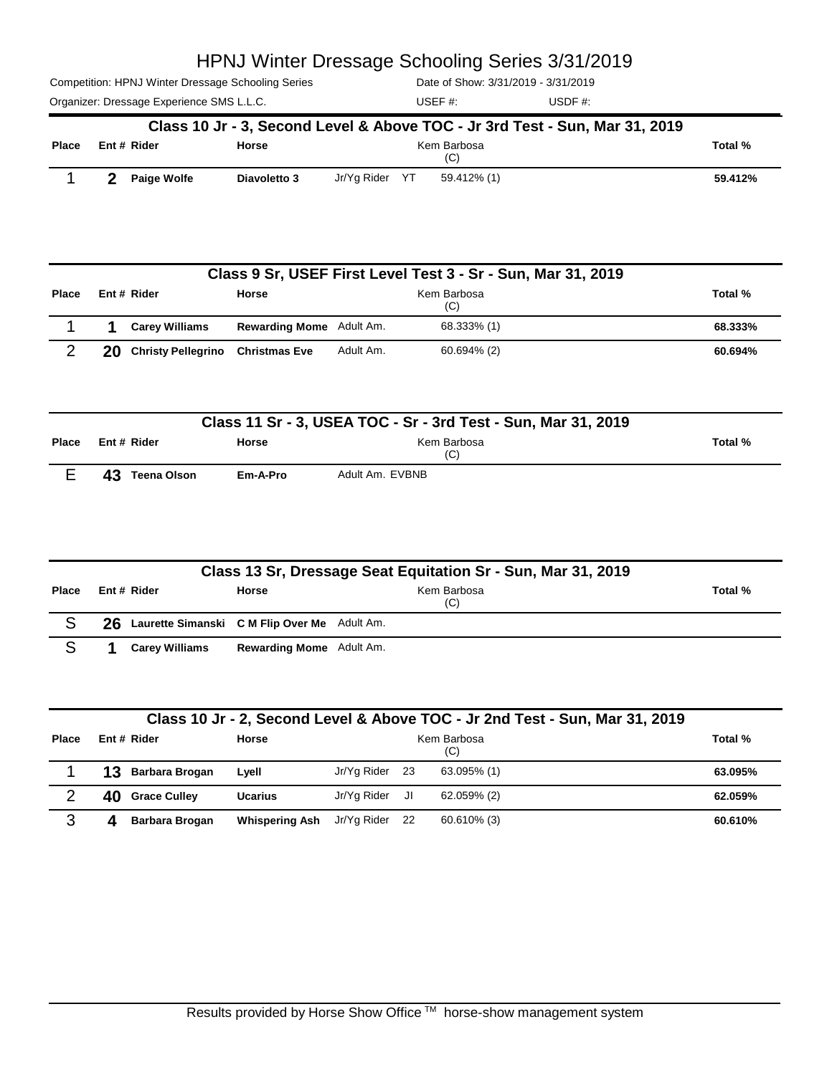Competition: HPNJ Winter Dressage Schooling Series

Date of Show: 3/31/2019 - 3/31/2019

|              |                    |              |                | Class 10 Jr - 3, Second Level & Above TOC - Jr 3rd Test - Sun, Mar 31, 2019 |         |
|--------------|--------------------|--------------|----------------|-----------------------------------------------------------------------------|---------|
| <b>Place</b> | Ent # Rider        | Horse        |                | Kem Barbosa<br>(C)                                                          | Total % |
|              | <b>Paige Wolfe</b> | Diavoletto 3 | Jr/Ya Rider YT | 59.412% (1)                                                                 | 59.412% |

|              | Class 9 Sr, USEF First Level Test 3 - Sr - Sun, Mar 31, 2019 |                           |                                 |           |                    |         |  |  |  |
|--------------|--------------------------------------------------------------|---------------------------|---------------------------------|-----------|--------------------|---------|--|--|--|
| <b>Place</b> |                                                              | Ent# Rider                | <b>Horse</b>                    |           | Kem Barbosa<br>(C) | Total % |  |  |  |
|              |                                                              | <b>Carey Williams</b>     | <b>Rewarding Mome</b> Adult Am. |           | 68.333% (1)        | 68.333% |  |  |  |
| ⌒            | 20                                                           | <b>Christy Pellegrino</b> | <b>Christmas Eve</b>            | Adult Am. | 60.694% (2)        | 60.694% |  |  |  |

|              | Class 11 Sr - 3, USEA TOC - Sr - 3rd Test - Sun, Mar 31, 2019 |              |                    |         |  |  |  |  |  |
|--------------|---------------------------------------------------------------|--------------|--------------------|---------|--|--|--|--|--|
| <b>Place</b> | Ent # Rider                                                   | <b>Horse</b> | Kem Barbosa<br>(C) | Total % |  |  |  |  |  |
|              | 43<br>Teena Olson                                             | Em-A-Pro     | Adult Am. EVBNB    |         |  |  |  |  |  |

|              | Class 13 Sr, Dressage Seat Equitation Sr - Sun, Mar 31, 2019 |                                                 |                                 |                    |         |  |  |  |  |  |
|--------------|--------------------------------------------------------------|-------------------------------------------------|---------------------------------|--------------------|---------|--|--|--|--|--|
| <b>Place</b> |                                                              | Ent # Rider                                     | <b>Horse</b>                    | Kem Barbosa<br>(C) | Total % |  |  |  |  |  |
|              |                                                              | 26 Laurette Simanski C M Flip Over Me Adult Am. |                                 |                    |         |  |  |  |  |  |
|              |                                                              | <b>Carev Williams</b>                           | <b>Rewarding Mome</b> Adult Am. |                    |         |  |  |  |  |  |

| Class 10 Jr - 2, Second Level & Above TOC - Jr 2nd Test - Sun, Mar 31, 2019 |  |
|-----------------------------------------------------------------------------|--|
|-----------------------------------------------------------------------------|--|

| Place |    | Ent # Rider     | Horse                 |                |      | Kem Barbosa<br>(C) | Total % |
|-------|----|-----------------|-----------------------|----------------|------|--------------------|---------|
|       | 13 | Barbara Brogan  | Lyell                 | Jr/Yg Rider    | - 23 | 63.095% (1)        | 63.095% |
|       |    | 40 Grace Culley | <b>Ucarius</b>        | Jr/Yg Rider    | JI.  | 62.059% (2)        | 62.059% |
| ⌒     |    | Barbara Brogan  | <b>Whispering Ash</b> | Jr/Yg Rider 22 |      | 60.610% (3)        | 60.610% |